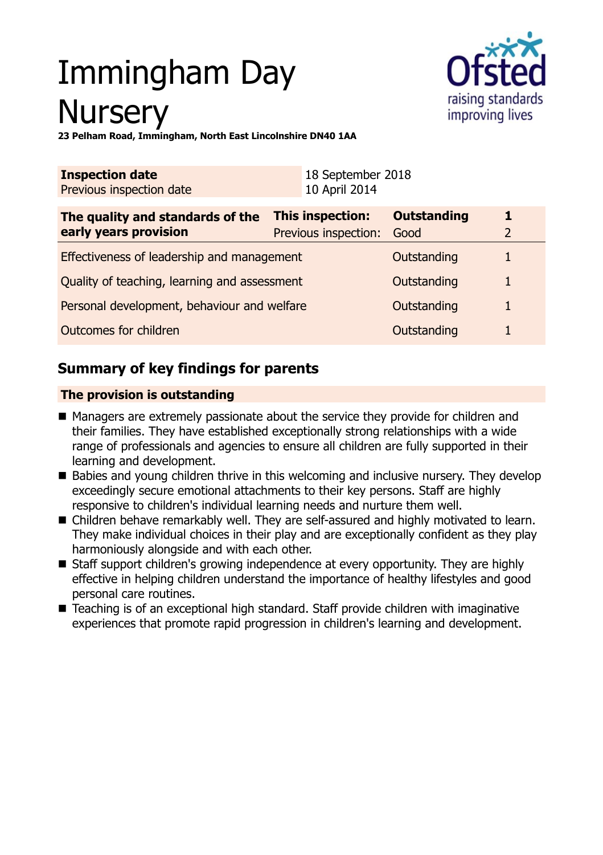# Immingham Day **Nursery**



**23 Pelham Road, Immingham, North East Lincolnshire DN40 1AA**

| <b>Inspection date</b><br>Previous inspection date        | 18 September 2018<br>10 April 2014              |                            |  |
|-----------------------------------------------------------|-------------------------------------------------|----------------------------|--|
| The quality and standards of the<br>early years provision | <b>This inspection:</b><br>Previous inspection: | <b>Outstanding</b><br>Good |  |
| Effectiveness of leadership and management                |                                                 | Outstanding                |  |
| Quality of teaching, learning and assessment              |                                                 | Outstanding                |  |
| Personal development, behaviour and welfare               |                                                 | Outstanding                |  |
| Outcomes for children                                     |                                                 | Outstanding                |  |

# **Summary of key findings for parents**

## **The provision is outstanding**

- $\blacksquare$  Managers are extremely passionate about the service they provide for children and their families. They have established exceptionally strong relationships with a wide range of professionals and agencies to ensure all children are fully supported in their learning and development.
- Babies and young children thrive in this welcoming and inclusive nursery. They develop exceedingly secure emotional attachments to their key persons. Staff are highly responsive to children's individual learning needs and nurture them well.
- Children behave remarkably well. They are self-assured and highly motivated to learn. They make individual choices in their play and are exceptionally confident as they play harmoniously alongside and with each other.
- Staff support children's growing independence at every opportunity. They are highly effective in helping children understand the importance of healthy lifestyles and good personal care routines.
- Teaching is of an exceptional high standard. Staff provide children with imaginative experiences that promote rapid progression in children's learning and development.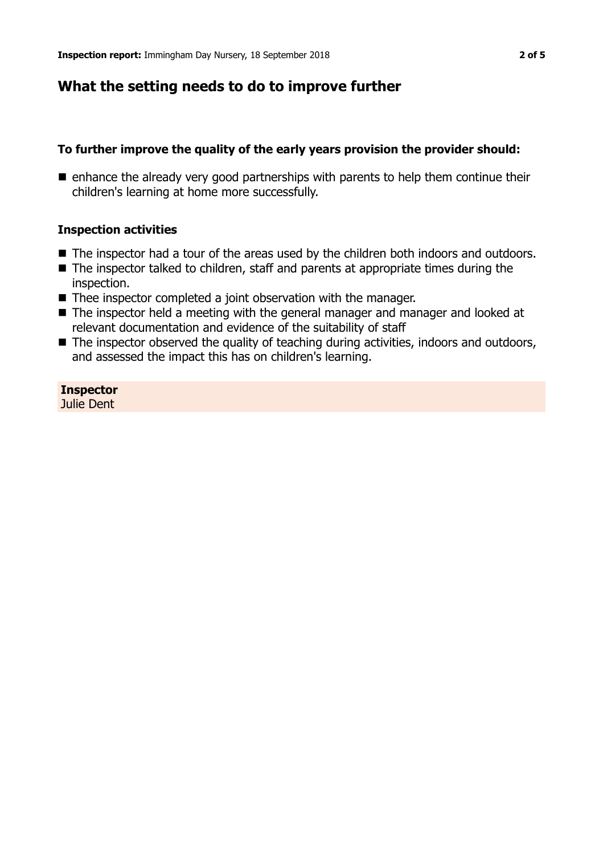## **What the setting needs to do to improve further**

#### **To further improve the quality of the early years provision the provider should:**

 $\blacksquare$  enhance the already very good partnerships with parents to help them continue their children's learning at home more successfully.

#### **Inspection activities**

- The inspector had a tour of the areas used by the children both indoors and outdoors.
- $\blacksquare$  The inspector talked to children, staff and parents at appropriate times during the inspection.
- Thee inspector completed a joint observation with the manager.
- $\blacksquare$  The inspector held a meeting with the general manager and manager and looked at relevant documentation and evidence of the suitability of staff
- $\blacksquare$  The inspector observed the quality of teaching during activities, indoors and outdoors, and assessed the impact this has on children's learning.

#### **Inspector** Julie Dent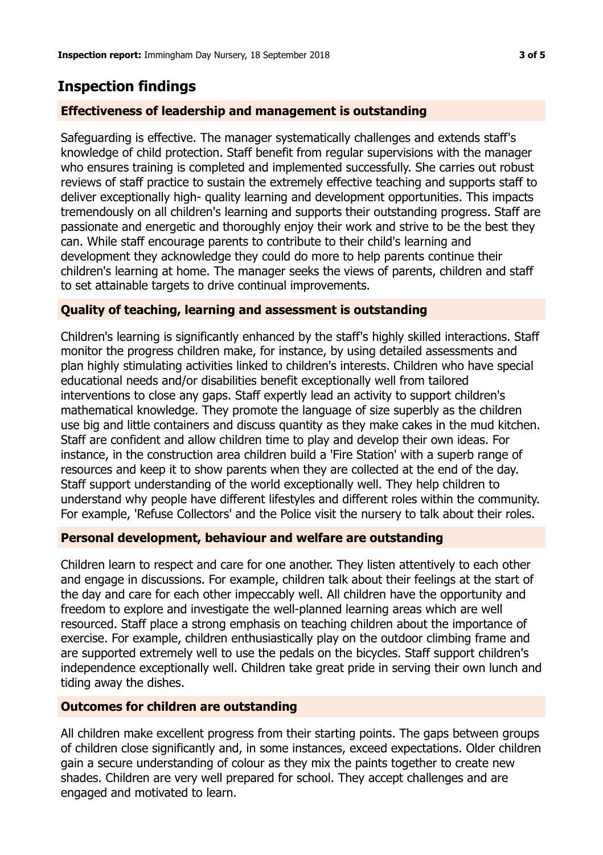# **Inspection findings**

## **Effectiveness of leadership and management is outstanding**

Safeguarding is effective. The manager systematically challenges and extends staff's knowledge of child protection. Staff benefit from regular supervisions with the manager who ensures training is completed and implemented successfully. She carries out robust reviews of staff practice to sustain the extremely effective teaching and supports staff to deliver exceptionally high- quality learning and development opportunities. This impacts tremendously on all children's learning and supports their outstanding progress. Staff are passionate and energetic and thoroughly enjoy their work and strive to be the best they can. While staff encourage parents to contribute to their child's learning and development they acknowledge they could do more to help parents continue their children's learning at home. The manager seeks the views of parents, children and staff to set attainable targets to drive continual improvements.

## **Quality of teaching, learning and assessment is outstanding**

Children's learning is significantly enhanced by the staff's highly skilled interactions. Staff monitor the progress children make, for instance, by using detailed assessments and plan highly stimulating activities linked to children's interests. Children who have special educational needs and/or disabilities benefit exceptionally well from tailored interventions to close any gaps. Staff expertly lead an activity to support children's mathematical knowledge. They promote the language of size superbly as the children use big and little containers and discuss quantity as they make cakes in the mud kitchen. Staff are confident and allow children time to play and develop their own ideas. For instance, in the construction area children build a 'Fire Station' with a superb range of resources and keep it to show parents when they are collected at the end of the day. Staff support understanding of the world exceptionally well. They help children to understand why people have different lifestyles and different roles within the community. For example, 'Refuse Collectors' and the Police visit the nursery to talk about their roles.

## **Personal development, behaviour and welfare are outstanding**

Children learn to respect and care for one another. They listen attentively to each other and engage in discussions. For example, children talk about their feelings at the start of the day and care for each other impeccably well. All children have the opportunity and freedom to explore and investigate the well-planned learning areas which are well resourced. Staff place a strong emphasis on teaching children about the importance of exercise. For example, children enthusiastically play on the outdoor climbing frame and are supported extremely well to use the pedals on the bicycles. Staff support children's independence exceptionally well. Children take great pride in serving their own lunch and tiding away the dishes.

#### **Outcomes for children are outstanding**

All children make excellent progress from their starting points. The gaps between groups of children close significantly and, in some instances, exceed expectations. Older children gain a secure understanding of colour as they mix the paints together to create new shades. Children are very well prepared for school. They accept challenges and are engaged and motivated to learn.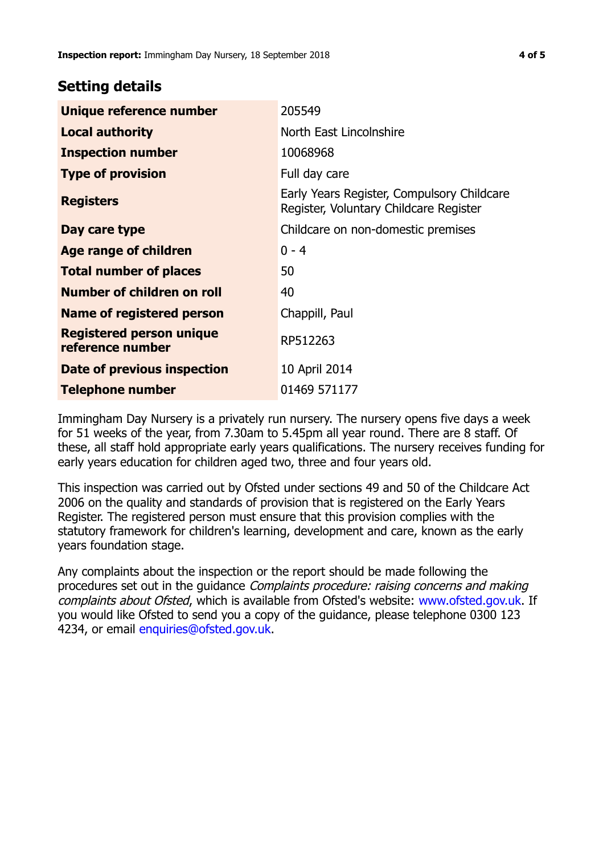# **Setting details**

| Unique reference number                             | 205549                                                                               |  |
|-----------------------------------------------------|--------------------------------------------------------------------------------------|--|
| <b>Local authority</b>                              | North East Lincolnshire                                                              |  |
| <b>Inspection number</b>                            | 10068968                                                                             |  |
| <b>Type of provision</b>                            | Full day care                                                                        |  |
| <b>Registers</b>                                    | Early Years Register, Compulsory Childcare<br>Register, Voluntary Childcare Register |  |
| Day care type                                       | Childcare on non-domestic premises                                                   |  |
| <b>Age range of children</b>                        | $0 - 4$                                                                              |  |
| <b>Total number of places</b>                       | 50                                                                                   |  |
| Number of children on roll                          | 40                                                                                   |  |
| Name of registered person                           | Chappill, Paul                                                                       |  |
| <b>Registered person unique</b><br>reference number | RP512263                                                                             |  |
| Date of previous inspection                         | 10 April 2014                                                                        |  |
| <b>Telephone number</b>                             | 01469 571177                                                                         |  |

Immingham Day Nursery is a privately run nursery. The nursery opens five days a week for 51 weeks of the year, from 7.30am to 5.45pm all year round. There are 8 staff. Of these, all staff hold appropriate early years qualifications. The nursery receives funding for early years education for children aged two, three and four years old.

This inspection was carried out by Ofsted under sections 49 and 50 of the Childcare Act 2006 on the quality and standards of provision that is registered on the Early Years Register. The registered person must ensure that this provision complies with the statutory framework for children's learning, development and care, known as the early years foundation stage.

Any complaints about the inspection or the report should be made following the procedures set out in the guidance Complaints procedure: raising concerns and making complaints about Ofsted, which is available from Ofsted's website: www.ofsted.gov.uk. If you would like Ofsted to send you a copy of the guidance, please telephone 0300 123 4234, or email [enquiries@ofsted.gov.uk.](mailto:enquiries@ofsted.gov.uk)